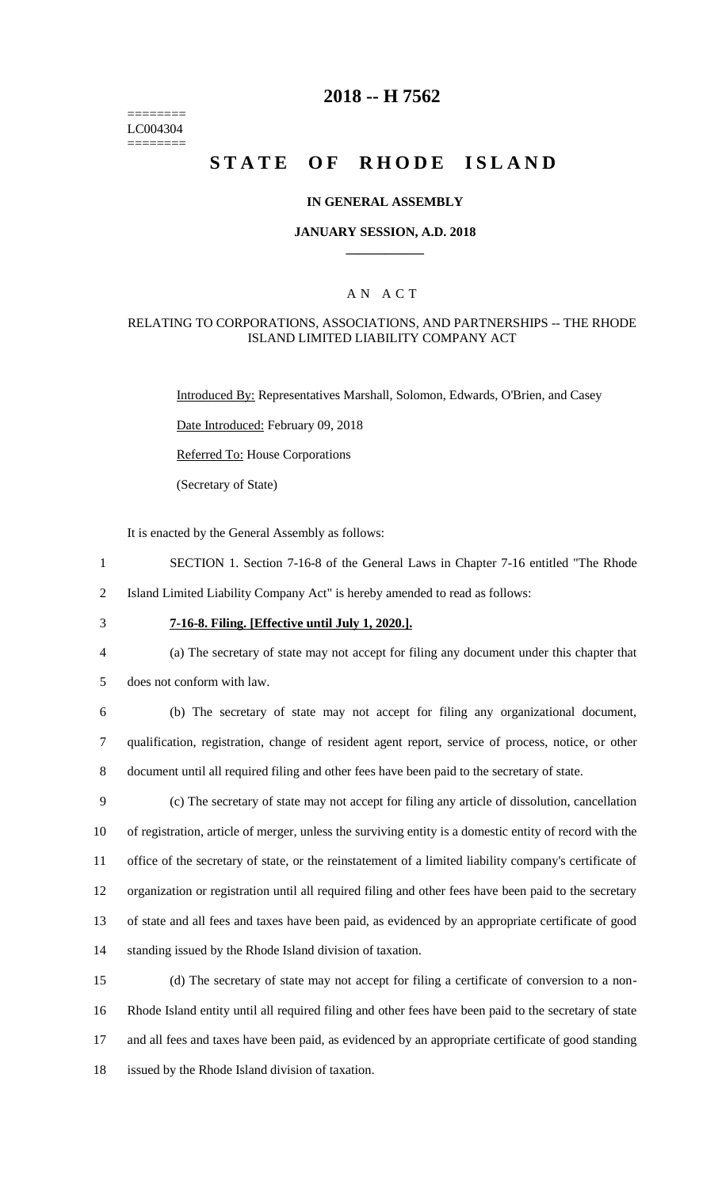======== LC004304 ========

### **2018 -- H 7562**

# **STATE OF RHODE ISLAND**

#### **IN GENERAL ASSEMBLY**

#### **JANUARY SESSION, A.D. 2018 \_\_\_\_\_\_\_\_\_\_\_\_**

#### A N A C T

#### RELATING TO CORPORATIONS, ASSOCIATIONS, AND PARTNERSHIPS -- THE RHODE ISLAND LIMITED LIABILITY COMPANY ACT

Introduced By: Representatives Marshall, Solomon, Edwards, O'Brien, and Casey

Date Introduced: February 09, 2018

Referred To: House Corporations

(Secretary of State)

It is enacted by the General Assembly as follows:

- 1 SECTION 1. Section 7-16-8 of the General Laws in Chapter 7-16 entitled "The Rhode
- 2 Island Limited Liability Company Act" is hereby amended to read as follows:
- 

#### 3 **7-16-8. Filing. [Effective until July 1, 2020.].**

- 4 (a) The secretary of state may not accept for filing any document under this chapter that
- 5 does not conform with law.

6 (b) The secretary of state may not accept for filing any organizational document, 7 qualification, registration, change of resident agent report, service of process, notice, or other 8 document until all required filing and other fees have been paid to the secretary of state.

 (c) The secretary of state may not accept for filing any article of dissolution, cancellation of registration, article of merger, unless the surviving entity is a domestic entity of record with the office of the secretary of state, or the reinstatement of a limited liability company's certificate of organization or registration until all required filing and other fees have been paid to the secretary of state and all fees and taxes have been paid, as evidenced by an appropriate certificate of good standing issued by the Rhode Island division of taxation.

 (d) The secretary of state may not accept for filing a certificate of conversion to a non- Rhode Island entity until all required filing and other fees have been paid to the secretary of state and all fees and taxes have been paid, as evidenced by an appropriate certificate of good standing issued by the Rhode Island division of taxation.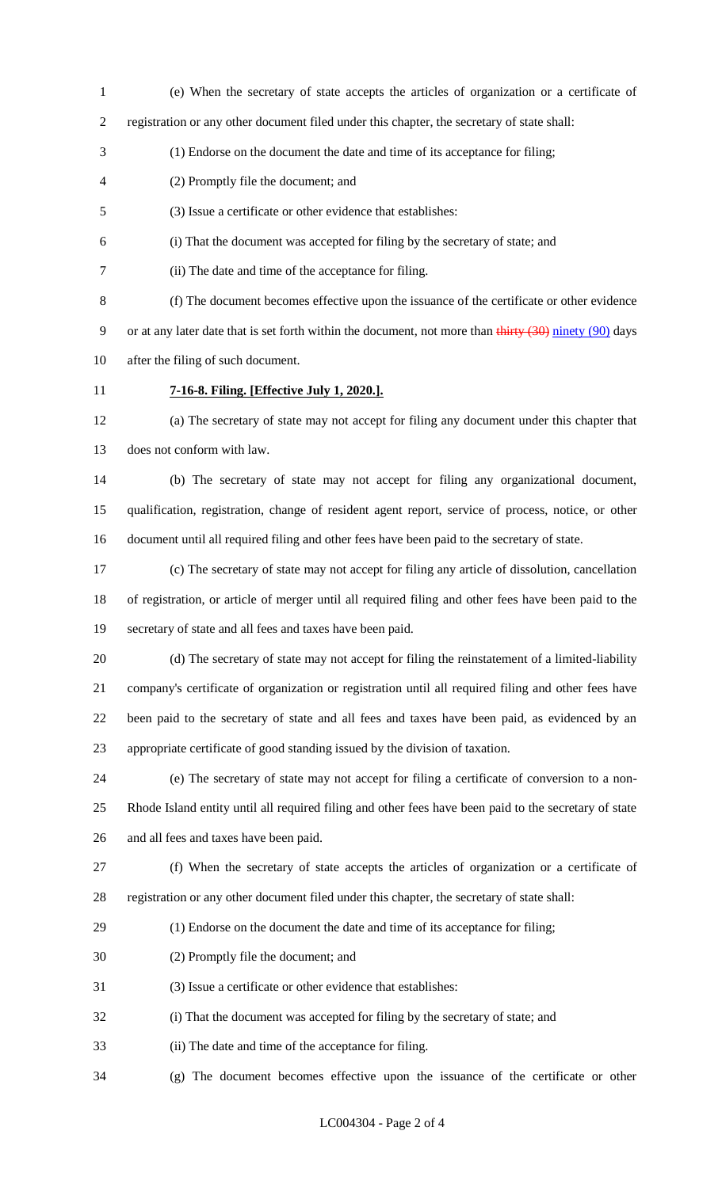- (e) When the secretary of state accepts the articles of organization or a certificate of
- registration or any other document filed under this chapter, the secretary of state shall:
- (1) Endorse on the document the date and time of its acceptance for filing;
- (2) Promptly file the document; and
- (3) Issue a certificate or other evidence that establishes:
- (i) That the document was accepted for filing by the secretary of state; and
- (ii) The date and time of the acceptance for filing.

 (f) The document becomes effective upon the issuance of the certificate or other evidence 9 or at any later date that is set forth within the document, not more than thirty  $(30)$  ninety  $(90)$  days after the filing of such document.

- 
- 

### **7-16-8. Filing. [Effective July 1, 2020.].**

 (a) The secretary of state may not accept for filing any document under this chapter that does not conform with law.

 (b) The secretary of state may not accept for filing any organizational document, qualification, registration, change of resident agent report, service of process, notice, or other document until all required filing and other fees have been paid to the secretary of state.

 (c) The secretary of state may not accept for filing any article of dissolution, cancellation of registration, or article of merger until all required filing and other fees have been paid to the secretary of state and all fees and taxes have been paid.

 (d) The secretary of state may not accept for filing the reinstatement of a limited-liability company's certificate of organization or registration until all required filing and other fees have been paid to the secretary of state and all fees and taxes have been paid, as evidenced by an appropriate certificate of good standing issued by the division of taxation.

 (e) The secretary of state may not accept for filing a certificate of conversion to a non- Rhode Island entity until all required filing and other fees have been paid to the secretary of state and all fees and taxes have been paid.

 (f) When the secretary of state accepts the articles of organization or a certificate of registration or any other document filed under this chapter, the secretary of state shall:

- (1) Endorse on the document the date and time of its acceptance for filing;
- (2) Promptly file the document; and
- (3) Issue a certificate or other evidence that establishes:
- (i) That the document was accepted for filing by the secretary of state; and
- (ii) The date and time of the acceptance for filing.
- (g) The document becomes effective upon the issuance of the certificate or other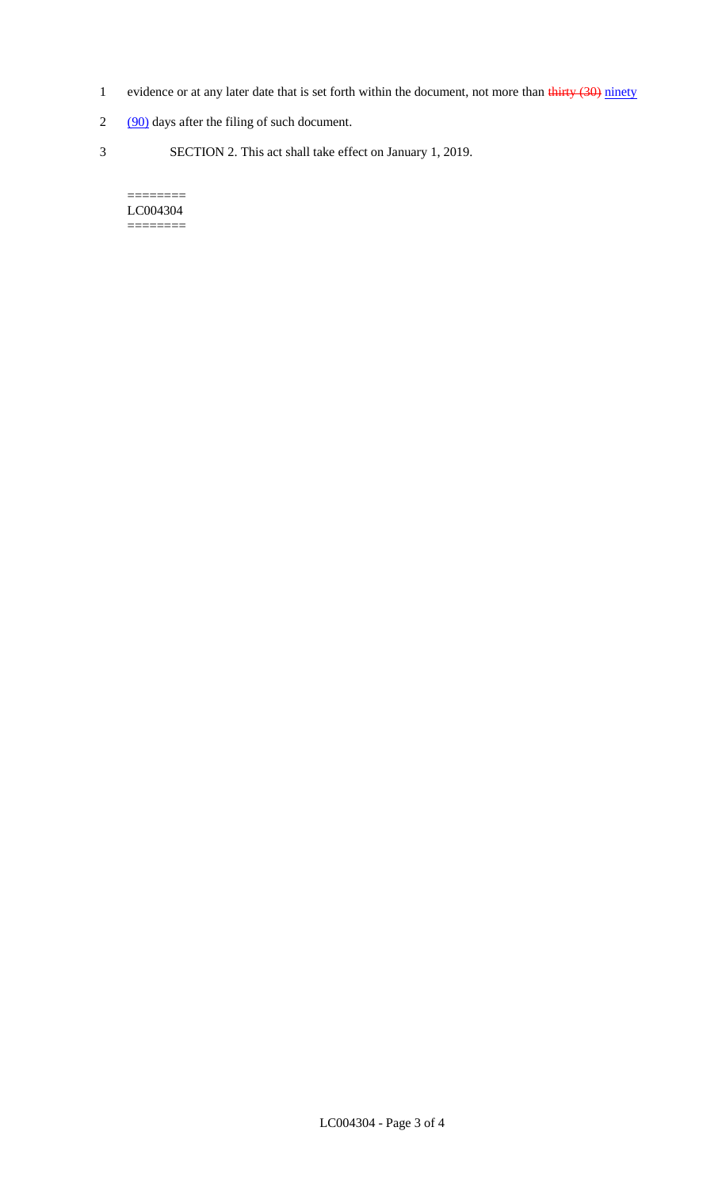- 1 evidence or at any later date that is set forth within the document, not more than thirty (30) ninety
- 2 (90) days after the filing of such document.
- 3 SECTION 2. This act shall take effect on January 1, 2019.

#### $=$ LC004304 ========